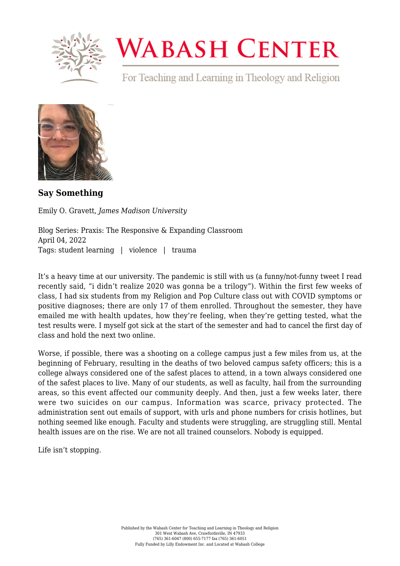

## **WABASH CENTER**

For Teaching and Learning in Theology and Religion



**[Say Something](https://www.wabashcenter.wabash.edu/2022/04/say-something/)**

Emily O. Gravett, *James Madison University*

Blog Series: Praxis: The Responsive & Expanding Classroom April 04, 2022 Tags: student learning | violence | trauma

It's a heavy time at our university. The pandemic is still with us (a funny/not-funny [tweet](https://twitter.com/marisakabas/status/1476945966582448130?lang=en) I read recently said, "i didn't realize 2020 was gonna be a trilogy"). Within the first few weeks of class, I had six students from my Religion and Pop Culture class out with COVID symptoms or positive diagnoses; there are only 17 of them enrolled. Throughout the semester, they have emailed me with health updates, how they're feeling, when they're getting tested, what the test results were. I myself got sick at the start of the semester and had to cancel the first day of class and hold the next two online.

Worse, if possible, there was a [shooting on a college campus just a few miles from us,](https://www.washingtonpost.com/dc-md-va/2022/02/02/bridgewater-shooting-suspect/) at the beginning of February, resulting in the deaths of two beloved campus safety officers; this is a college always considered one of the safest places to attend, in a town always considered one of the safest places to live. Many of our students, as well as faculty, hail from the surrounding areas, so this event affected our community deeply. And then, just a few weeks later, there were two suicides on our campus. Information was scarce, privacy protected. The administration sent out emails of support, with urls and phone numbers for crisis hotlines, but nothing seemed like enough. Faculty and students were struggling, are struggling still. Mental health issues [are on the rise.](https://www.nimh.nih.gov/about/director/messages/2021/one-year-in-covid-19-and-mental-health) We are not all trained counselors. Nobody is equipped.

[Life isn't stopping.](https://www.wabashcenter.wabash.edu/2020/08/life-dont-stop-my-cat-died/)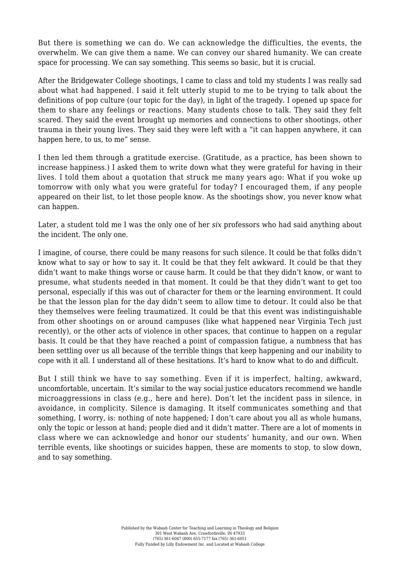But [there is something we can do.](https://cft.vanderbilt.edu/guides-sub-pages/crisis/) We can acknowledge the difficulties, the events, the overwhelm. We can give them a name. We can convey our shared humanity. We can create space for processing. We can say something. This seems so basic, but it is crucial.

After the Bridgewater College shootings, I came to class and told my students I was really sad about what had happened. I said it felt utterly stupid to me to be trying to talk about the definitions of pop culture (our topic for the day), in light of the tragedy. I opened up space for them to share any feelings or reactions. Many students chose to talk. They said they felt scared. They said the event brought up memories and connections to other shootings, other trauma in their young lives. They said they were left with a "it can happen anywhere, it can happen here, to us, to me" sense.

I then led them through a gratitude exercise. (Gratitude, as a practice, has been [shown to](https://www.health.harvard.edu/healthbeat/giving-thanks-can-make-you-happier) [increase happiness](https://www.health.harvard.edu/healthbeat/giving-thanks-can-make-you-happier).) I asked them to write down what they were grateful for having in their lives. I told them about a quotation that struck me many years ago: What if you woke up tomorrow with only what you were grateful for today? I encouraged them, if any people appeared on their list, to let those people know. As the shootings show, you never know what can happen.

Later, a student told me I was the only one of her *six* professors who had said anything about the incident. The only one.

I imagine, of course, there could be many reasons for such silence. It could be that folks didn't know what to say or how to say it. It could be that they felt awkward. It could be that they didn't want to make things worse or cause harm. It could be that they didn't know, or want to presume, what students needed in that moment. It could be that they didn't want to get too personal, especially if this was out of character for them or the learning environment. It could be that the lesson plan for the day didn't seem to allow time to detour. It could also be that they themselves were feeling traumatized. It could be that this event was indistinguishable from other shootings on or around campuses (like [what happened near Virginia Tech just](https://www.cnn.com/2022/02/05/us/virginia-tech-hookah-lounge-shooting/index.html) [recently\)](https://www.cnn.com/2022/02/05/us/virginia-tech-hookah-lounge-shooting/index.html), or the other acts of violence in other spaces, that continue to happen on a regular basis. It could be that they have reached a point of compassion fatigue, a numbness that has been settling over us all because of the terrible things that keep happening and our inability to cope with it all. I understand all of these hesitations. It's hard to know what to do and difficult.

But I still think we have to say something. Even if it is imperfect, halting, awkward, uncomfortable, uncertain. It's similar to the way social justice educators recommend we handle microaggressions in class (e.g., [here](http://www.ronberk.com/articles/2017_micro3.pdf) and [here](https://teaching.washington.edu/topics/inclusive-teaching/addressing-microaggressions-in-the-classroom/)). Don't let the incident pass in silence, in avoidance, in complicity. Silence is damaging. It itself communicates something and that something, I worry, is: nothing of note happened; I don't care about you all as whole humans, only the topic or lesson at hand; people died and it didn't matter. There are a lot of moments in class where we can acknowledge and honor our students' humanity, and our own. When terrible events, like shootings or suicides happen, these are moments to stop, to slow down, and to say something.